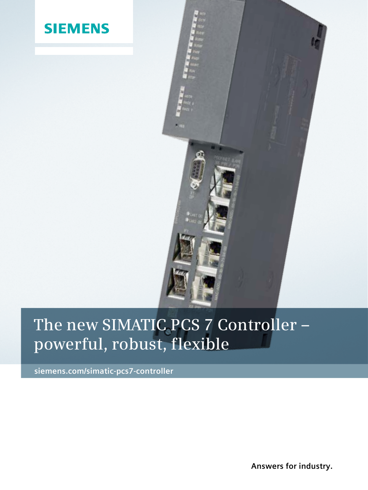



## **The new SIMATIC PCS 7 Controller – powerful, robust, flexible**

**siemens.com/simatic-pcs7-controller**

**Answers for industry.**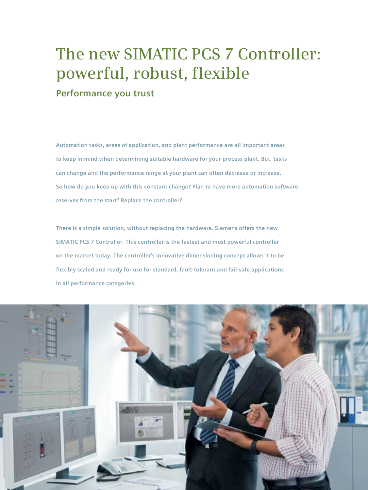## **The new SIMATIC PCS 7 Controller: powerful, robust, flexible**

**Performance you trust**

**Automation tasks, areas of application, and plant performance are all important areas to keep in mind when determining suitable hardware for your process plant. But, tasks can change and the performance range at your plant can often decrease or increase. So how do you keep up with this constant change? Plan to have more automation software reserves from the start? Replace the controller?** 

**There is a simple solution, without replacing the hardware. Siemens offers the new SIMATIC PCS 7 Controller. This controller is the fastest and most powerful controller on the market today. The controller's innovative dimensioning concept allows it to be flexibly scaled and ready for use for standard, fault-tolerant and fail-safe applications in all performance categories.**

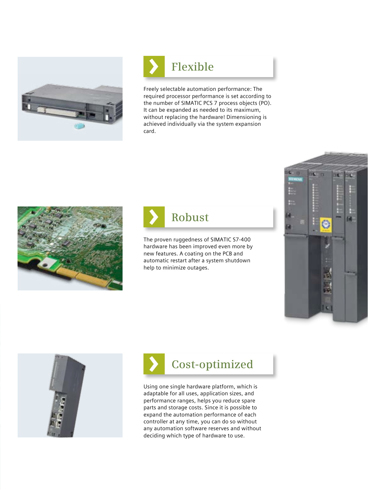

# **Flexible**

Freely selectable automation performance: The required processor performance is set according to the number of SIMATIC PCS 7 process objects (PO). It can be expanded as needed to its maximum, without replacing the hardware! Dimensioning is achieved individually via the system expansion card.





The proven ruggedness of SIMATIC S7-400 hardware has been improved even more by new features. A coating on the PCB and automatic restart after a system shutdown help to minimize outages.







Using one single hardware platform, which is adaptable for all uses, application sizes, and performance ranges, helps you reduce spare parts and storage costs. Since it is possible to expand the automation performance of each controller at any time, you can do so without any automation software reserves and without deciding which type of hardware to use.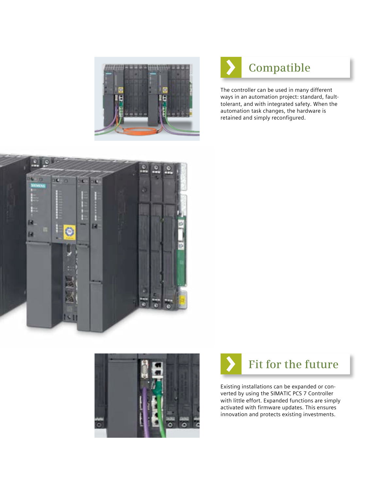



The controller can be used in many different ways in an automation project: standard, faulttolerant, and with integrated safety. When the automation task changes, the hardware is retained and simply reconfigured.







Existing installations can be expanded or converted by using the SIMATIC PCS 7 Controller with little effort. Expanded functions are simply activated with firmware updates. This ensures innovation and protects existing investments.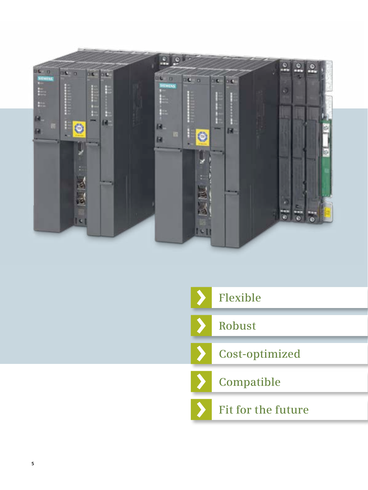

|  | Flexible           |
|--|--------------------|
|  | Robust             |
|  | Cost-optimized     |
|  | <b>Compatible</b>  |
|  | Fit for the future |